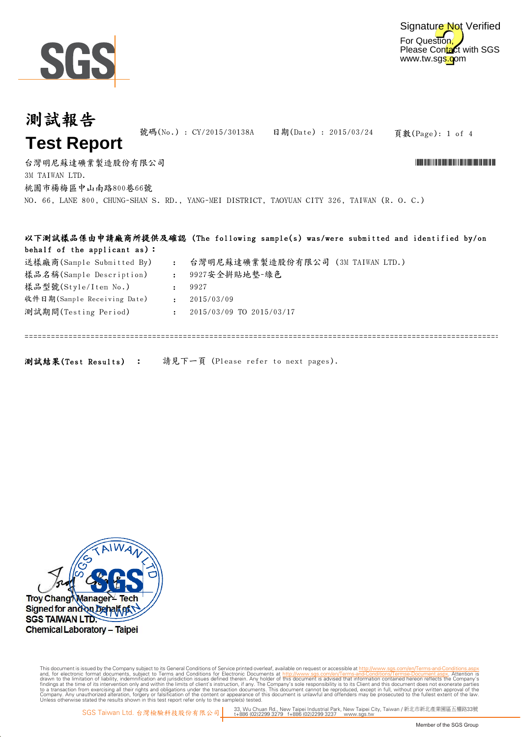

=============================================================================================================================

## 頁數(Page): 1 of 4 台灣明尼蘇達礦業製造股份有限公司 \*CY/2015/30138A\* 號碼(No.) : CY/2015/30138A 日期(Date) : 2015/03/24 3M TAIWAN LTD. 測試報告 **Test Report** 桃園市楊梅區中山南路800巷66號 NO. 66, LANE 800, CHUNG-SHAN S. RD., YANG-MEI DISTRICT, TAOYUAN CITY 326, TAIWAN (R. O. C.) 以下測試樣品係由申請廠商所提供及確認 (The following sample(s) was/were submitted and identified by/on behalf of the applicant as):

| 送樣廠商(Sample Submitted By)   | $\mathbf{L}$   | 台灣明尼蘇達礦業製造股份有限公司 (3M TAIWAN LTD.) |
|-----------------------------|----------------|-----------------------------------|
| 樣品名稱(Sample Description)    | $\sim 10^{-1}$ | 9927安全拼貼地墊-綠色                     |
| 樣品型號(Style/Item No.)        |                | 9927                              |
| 收件日期(Sample Receiving Date) |                | 2015/03/09                        |
| 測試期間(Testing Period)        |                | 2015/03/09 TO 2015/03/17          |
|                             |                |                                   |
|                             |                |                                   |

測試結果(Test Results) : 請見下一頁 (Please refer to next pages).



Digitally signed by www.wmholetech.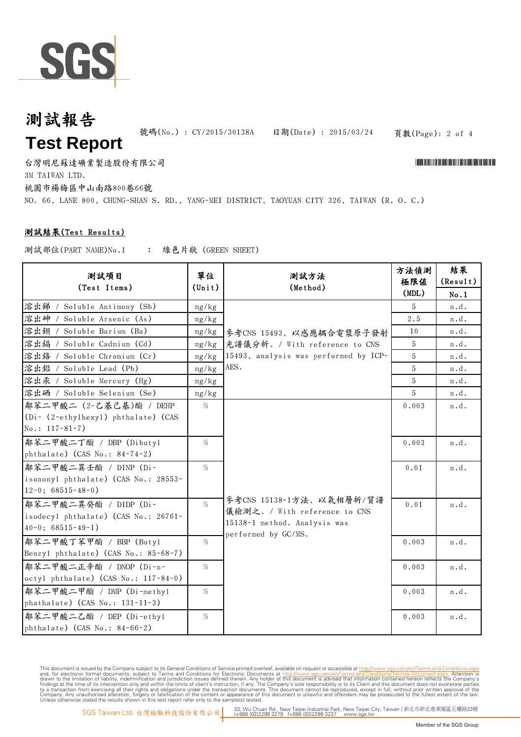

# 測試報告 **Test Report**

號碼(No.) : CY/2015/30138A 日期(Date) : 2015/03/24

頁數(Page): 2 of 4

台灣明尼蘇達礦業製造股份有限公司 \*CY/2015/30138A\* 3M TAIWAN LTD. 桃園市楊梅區中山南路800巷66號 NO. 66, LANE 800, CHUNG-SHAN S. RD., YANG-MEI DISTRICT, TAOYUAN CITY 326, TAIWAN (R. O. C.)

### 測試結果(Test Results)

: 綠色片狀 (GREEN SHEET) 測試部位(PART NAME)No.1

| 測試項目<br>(Test Items)                 | 單位<br>$(\text{Unit})$ | 測試方法<br>(Method)                      | 方法偵測<br>極限値<br>(MDL) | 結果<br>(Result)<br>No.1 |
|--------------------------------------|-----------------------|---------------------------------------|----------------------|------------------------|
| 溶出锑 / Soluble Antimony (Sb)          | mg/kg                 |                                       | 5                    | n.d.                   |
| 溶出砷 /<br>Soluble Arsenic (As)        | mg/kg                 |                                       | 2.5                  | n.d.                   |
| 溶出鋇 / Soluble Barium (Ba)            | mg/kg                 | 參考CNS 15493, 以感應耦合電漿原子發射              | 10                   | n.d.                   |
| 溶出编 / Soluble Cadmium (Cd)           | mg/kg                 | 光譜儀分析. / With reference to CNS        | 5                    | n.d.                   |
| 溶出络 / Soluble Chromium (Cr)          | mg/kg                 | 15493, analysis was performed by ICP- | 5                    | n.d.                   |
| 溶出鉛 / Soluble Lead (Pb)              | mg/kg                 | AES.                                  | 5                    | n.d.                   |
| 溶出汞 / Soluble Mercury (Hg)           | mg/kg                 |                                       | 5                    | n.d.                   |
| 溶出硒 / Soluble Selenium (Se)          | mg/kg                 |                                       | 5                    | n.d.                   |
| 鄰苯二甲酸二 (2-乙基己基)酯 / DEHP              | %                     |                                       | 0.003                | n.d.                   |
| (Di- (2-ethylhexyl) phthalate) (CAS  |                       |                                       |                      |                        |
| $No.: 117-81-7)$                     |                       |                                       |                      |                        |
| 鄰苯二甲酸二丁酯 / DBP (Dibutyl              | %                     |                                       | 0.003                | n.d.                   |
| phthalate) (CAS No.: 84-74-2)        |                       |                                       |                      |                        |
| 鄰苯二甲酸二異壬酯 / DINP (Di-                | %                     |                                       | 0.01                 | n.d.                   |
| isononyl phthalate) (CAS No.: 28553- |                       |                                       |                      |                        |
| $12-0$ ; 68515-48-0)                 |                       |                                       |                      |                        |
| 鄰苯二甲酸二異癸酯 / DIDP (Di-                | $\%$                  | 參考CNS 15138-1方法, 以氣相層析/質譜             | 0.01                 | n.d.                   |
| isodecyl phthalate) (CAS No.: 26761- |                       | 儀檢測之. / With reference to CNS         |                      |                        |
| $40-0$ ; $68515-49-1$ )              |                       | 15138-1 method. Analysis was          |                      |                        |
| 鄰苯二甲酸丁苯甲酯 / BBP (Butyl               | %                     | performed by GC/MS.                   | 0.003                | n.d.                   |
| Benzyl phthalate) (CAS No.: 85-68-7) |                       |                                       |                      |                        |
| 鄰苯二甲酸二正辛酯 / DNOP (Di-n-              | $\%$                  |                                       | 0.003                | n.d.                   |
| octyl phthalate) (CAS No.: 117-84-0) |                       |                                       |                      |                        |
| 鄰苯二甲酸二甲酯 / DMP (Di-methyl            | %                     |                                       | 0.003                | n.d.                   |
| phathalate) $(CAS No.: 131-11-3)$    |                       |                                       |                      |                        |
| 鄰苯二甲酸二乙酯 / DEP (Di-ethyl             | $\%$                  |                                       | 0.003                | n.d.                   |
| phthalate) (CAS No.: 84-66-2)        |                       |                                       |                      |                        |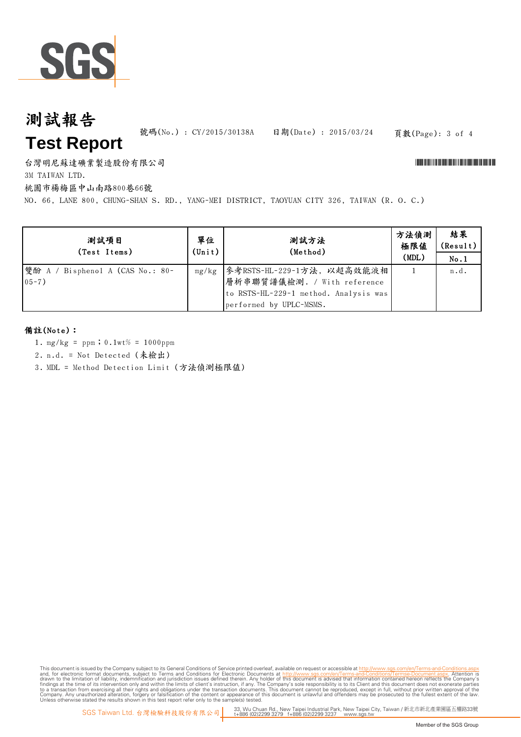

# 測試報告 **Test Report**

號碼(No.) : CY/2015/30138A 日期(Date) : 2015/03/24

頁數(Page): 3 of 4

台灣明尼蘇達礦業製造股份有限公司 \*CY/2015/30138A\*

3M TAIWAN LTD.

桃園市楊梅區中山南路800巷66號

NO. 66, LANE 800, CHUNG-SHAN S. RD., YANG-MEI DISTRICT, TAOYUAN CITY 326, TAIWAN (R. O. C.)

| 測試項目<br>(Test Items)                           | 單位<br>$(\text{Unit})$ | 測試方法<br>(Method)                                                                                                               | 方法偵測<br>極限値<br>(MDL) | 結果<br>(Result)  <br>No.1 |
|------------------------------------------------|-----------------------|--------------------------------------------------------------------------------------------------------------------------------|----------------------|--------------------------|
| 雙酚 A / Bisphenol A (CAS No.: 80-<br>$05 - 7$ ) | mg/kg                 | 参考RSTS-HL-229-1方法, 以超高效能液相 <br>層析串聯質譜儀檢測. / With reference<br>to RSTS-HL-229-1 method. Analysis was<br>performed by UPLC-MSMS. |                      | n.d.                     |

#### 備註(Note):

- 1. mg/kg = ppm;0.1wt% = 1000ppm
- 2. n.d. = Not Detected (未檢出)
- 3. MDL = Method Detection Limit (方法偵測極限值)